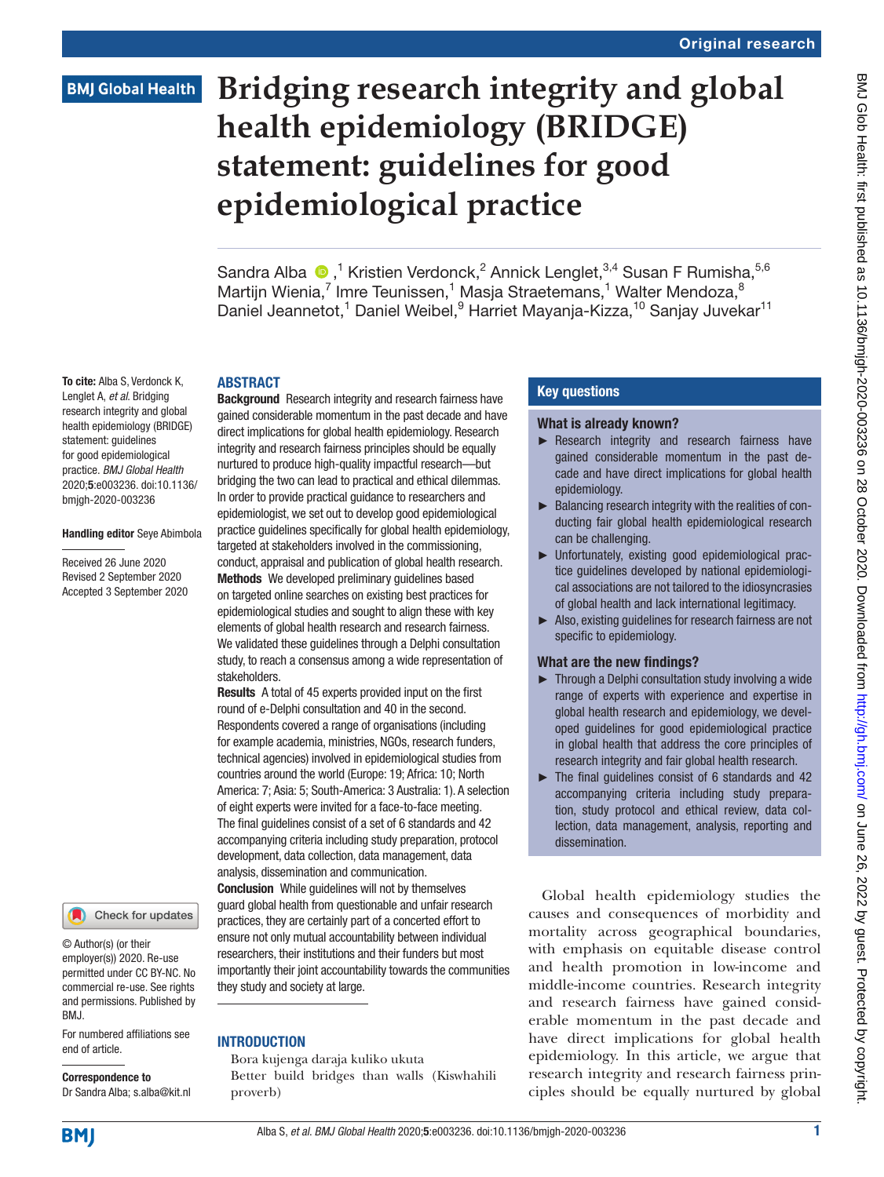# **BMJ Global Health**

# **Bridging research integrity and global health epidemiology (BRIDGE) statement: guidelines for good epidemiological practice**

Sandra Alba  $\bigcirc$ ,<sup>1</sup> Kristien Verdonck,<sup>2</sup> Annick Lenglet,<sup>3,4</sup> Susan F Rumisha,<sup>5,6</sup> Martijn Wienia,<sup>7</sup> Imre Teunissen,<sup>1</sup> Masja Straetemans,<sup>1</sup> Walter Mendoza,<sup>8</sup> Daniel Jeannetot,<sup>1</sup> Daniel Weibel, <sup>9</sup> Harriet Mayanja-Kizza, <sup>10</sup> Sanjay Juvekar<sup>11</sup>

#### ABSTRACT

To cite: Alba S, Verdonck K, Lenglet A, *et al*. Bridging research integrity and global health epidemiology (BRIDGE) statement: guidelines for good epidemiological practice. *BMJ Global Health* 2020;5:e003236. doi:10.1136/ bmjgh-2020-003236

#### Handling editor Seye Abimbola

Received 26 June 2020 Revised 2 September 2020 Accepted 3 September 2020

#### Check for updates

© Author(s) (or their employer(s)) 2020. Re-use permitted under CC BY-NC. No commercial re-use. See rights and permissions. Published by BMJ.

For numbered affiliations see end of article.

Correspondence to Dr Sandra Alba; s.alba@kit.nl

**Background** Research integrity and research fairness have gained considerable momentum in the past decade and have direct implications for global health epidemiology. Research integrity and research fairness principles should be equally nurtured to produce high-quality impactful research—but bridging the two can lead to practical and ethical dilemmas. In order to provide practical guidance to researchers and epidemiologist, we set out to develop good epidemiological practice guidelines specifically for global health epidemiology, targeted at stakeholders involved in the commissioning, conduct, appraisal and publication of global health research. Methods We developed preliminary guidelines based on targeted online searches on existing best practices for epidemiological studies and sought to align these with key elements of global health research and research fairness. We validated these guidelines through a Delphi consultation study, to reach a consensus among a wide representation of stakeholders.

Results A total of 45 experts provided input on the first round of e-Delphi consultation and 40 in the second. Respondents covered a range of organisations (including for example academia, ministries, NGOs, research funders, technical agencies) involved in epidemiological studies from countries around the world (Europe: 19; Africa: 10; North America: 7; Asia: 5; South-America: 3 Australia: 1). A selection of eight experts were invited for a face-to-face meeting. The final guidelines consist of a set of 6 standards and 42 accompanying criteria including study preparation, protocol development, data collection, data management, data analysis, dissemination and communication.

Conclusion While guidelines will not by themselves guard global health from questionable and unfair research practices, they are certainly part of a concerted effort to ensure not only mutual accountability between individual researchers, their institutions and their funders but most importantly their joint accountability towards the communities they study and society at large.

#### **INTRODUCTION**

Bora kujenga daraja kuliko ukuta Better build bridges than walls (Kiswhahili proverb)

#### Key questions

#### What is already known?

- ► Research integrity and research fairness have gained considerable momentum in the past decade and have direct implications for global health epidemiology.
- ► Balancing research integrity with the realities of conducting fair global health epidemiological research can be challenging.
- ► Unfortunately, existing good epidemiological practice guidelines developed by national epidemiological associations are not tailored to the idiosyncrasies of global health and lack international legitimacy.
- ► Also, existing guidelines for research fairness are not specific to epidemiology.

#### What are the new findings?

- ► Through a Delphi consultation study involving a wide range of experts with experience and expertise in global health research and epidemiology, we developed guidelines for good epidemiological practice in global health that address the core principles of research integrity and fair global health research.
- ► The final guidelines consist of 6 standards and 42 accompanying criteria including study preparation, study protocol and ethical review, data collection, data management, analysis, reporting and dissemination.

Global health epidemiology studies the causes and consequences of morbidity and mortality across geographical boundaries, with emphasis on equitable disease control and health promotion in low-income and middle-income countries. Research integrity and research fairness have gained considerable momentum in the past decade and have direct implications for global health epidemiology. In this article, we argue that research integrity and research fairness principles should be equally nurtured by global

**BMJ**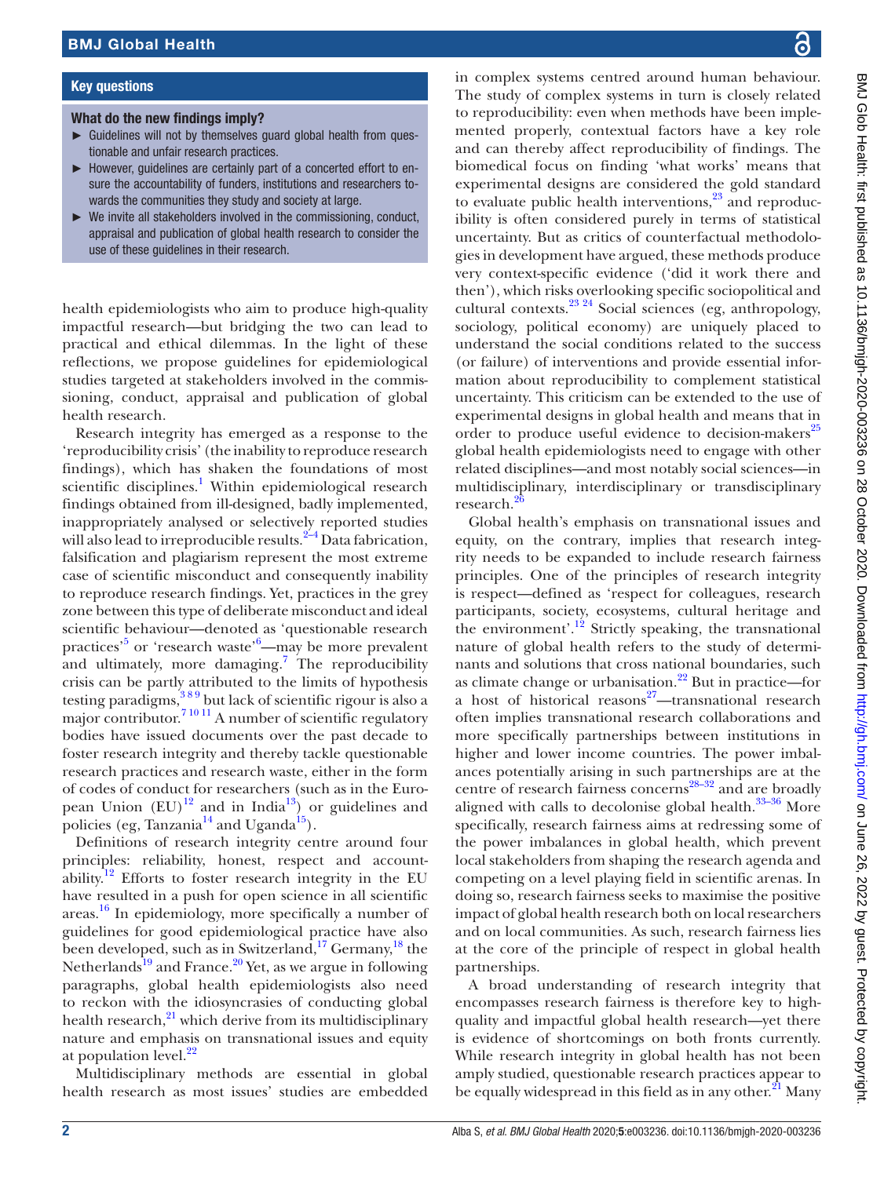#### Key questions

#### What do the new findings imply?

- ► Guidelines will not by themselves guard global health from questionable and unfair research practices.
- ► However, guidelines are certainly part of a concerted effort to ensure the accountability of funders, institutions and researchers towards the communities they study and society at large.
- We invite all stakeholders involved in the commissioning, conduct, appraisal and publication of global health research to consider the use of these guidelines in their research.

health epidemiologists who aim to produce high-quality impactful research—but bridging the two can lead to practical and ethical dilemmas. In the light of these reflections, we propose guidelines for epidemiological studies targeted at stakeholders involved in the commissioning, conduct, appraisal and publication of global health research.

Research integrity has emerged as a response to the 'reproducibility crisis' (the inability to reproduce research findings), which has shaken the foundations of most scientific disciplines.<sup>[1](#page-8-0)</sup> Within epidemiological research findings obtained from ill-designed, badly implemented, inappropriately analysed or selectively reported studies will also lead to irreproducible results.<sup>2–4</sup> Data fabrication, falsification and plagiarism represent the most extreme case of scientific misconduct and consequently inability to reproduce research findings. Yet, practices in the grey zone between this type of deliberate misconduct and ideal scientific behaviour—denoted as 'questionable research practices<sup>,5</sup> or 'research waste'<sup>[6](#page-8-3)</sup>—may be more prevalent and ultimately, more damaging.<sup>[7](#page-8-4)</sup> The reproducibility crisis can be partly attributed to the limits of hypothesis testing paradigms, $389$  but lack of scientific rigour is also a major contributor.<sup>7 10 11</sup> A number of scientific regulatory bodies have issued documents over the past decade to foster research integrity and thereby tackle questionable research practices and research waste, either in the form of codes of conduct for researchers (such as in the European Union  $(EU)^{12}$  and in India<sup>[13](#page-8-7)</sup>) or guidelines and policies (eg, Tanzania $^{14}$  and Uganda<sup>[15](#page-8-9)</sup>).

Definitions of research integrity centre around four principles: reliability, honest, respect and account-ability.<sup>[12](#page-8-6)</sup> Efforts to foster research integrity in the EU have resulted in a push for open science in all scientific areas. [16](#page-8-10) In epidemiology, more specifically a number of guidelines for good epidemiological practice have also been developed, such as in Switzerland, $17$  Germany,  $18$  the Netherlands<sup>19</sup> and France.<sup>20</sup> Yet, as we argue in following paragraphs, global health epidemiologists also need to reckon with the idiosyncrasies of conducting global health research, $^{21}$  which derive from its multidisciplinary nature and emphasis on transnational issues and equity at population level. $^{22}$  $^{22}$  $^{22}$ 

Multidisciplinary methods are essential in global health research as most issues' studies are embedded

in complex systems centred around human behaviour. The study of complex systems in turn is closely related to reproducibility: even when methods have been implemented properly, contextual factors have a key role and can thereby affect reproducibility of findings. The biomedical focus on finding 'what works' means that experimental designs are considered the gold standard to evaluate public health interventions, $23$  and reproducibility is often considered purely in terms of statistical uncertainty. But as critics of counterfactual methodologies in development have argued, these methods produce very context-specific evidence ('did it work there and then'), which risks overlooking specific sociopolitical and cultural contexts[.23 24](#page-9-3) Social sciences (eg, anthropology, sociology, political economy) are uniquely placed to understand the social conditions related to the success (or failure) of interventions and provide essential information about reproducibility to complement statistical uncertainty. This criticism can be extended to the use of experimental designs in global health and means that in order to produce useful evidence to decision-makers<sup>[25](#page-9-4)</sup> global health epidemiologists need to engage with other related disciplines—and most notably social sciences—in multidisciplinary, interdisciplinary or transdisciplinary research.<sup>2</sup>

Global health's emphasis on transnational issues and equity, on the contrary, implies that research integrity needs to be expanded to include research fairness principles. One of the principles of research integrity is respect—defined as 'respect for colleagues, research participants, society, ecosystems, cultural heritage and the environment'.<sup>12</sup> Strictly speaking, the transnational nature of global health refers to the study of determinants and solutions that cross national boundaries, such as climate change or urbanisation. $^{22}$  $^{22}$  $^{22}$  But in practice—for a host of historical reasons $27$ —transnational research often implies transnational research collaborations and more specifically partnerships between institutions in higher and lower income countries. The power imbalances potentially arising in such partnerships are at the centre of research fairness concerns<sup>28–32</sup> and are broadly aligned with calls to decolonise global health.<sup>33-36</sup> More specifically, research fairness aims at redressing some of the power imbalances in global health, which prevent local stakeholders from shaping the research agenda and competing on a level playing field in scientific arenas. In doing so, research fairness seeks to maximise the positive impact of global health research both on local researchers and on local communities. As such, research fairness lies at the core of the principle of respect in global health partnerships.

A broad understanding of research integrity that encompasses research fairness is therefore key to highquality and impactful global health research—yet there is evidence of shortcomings on both fronts currently. While research integrity in global health has not been amply studied, questionable research practices appear to be equally widespread in this field as in any other.<sup>[21](#page-9-1)</sup> Many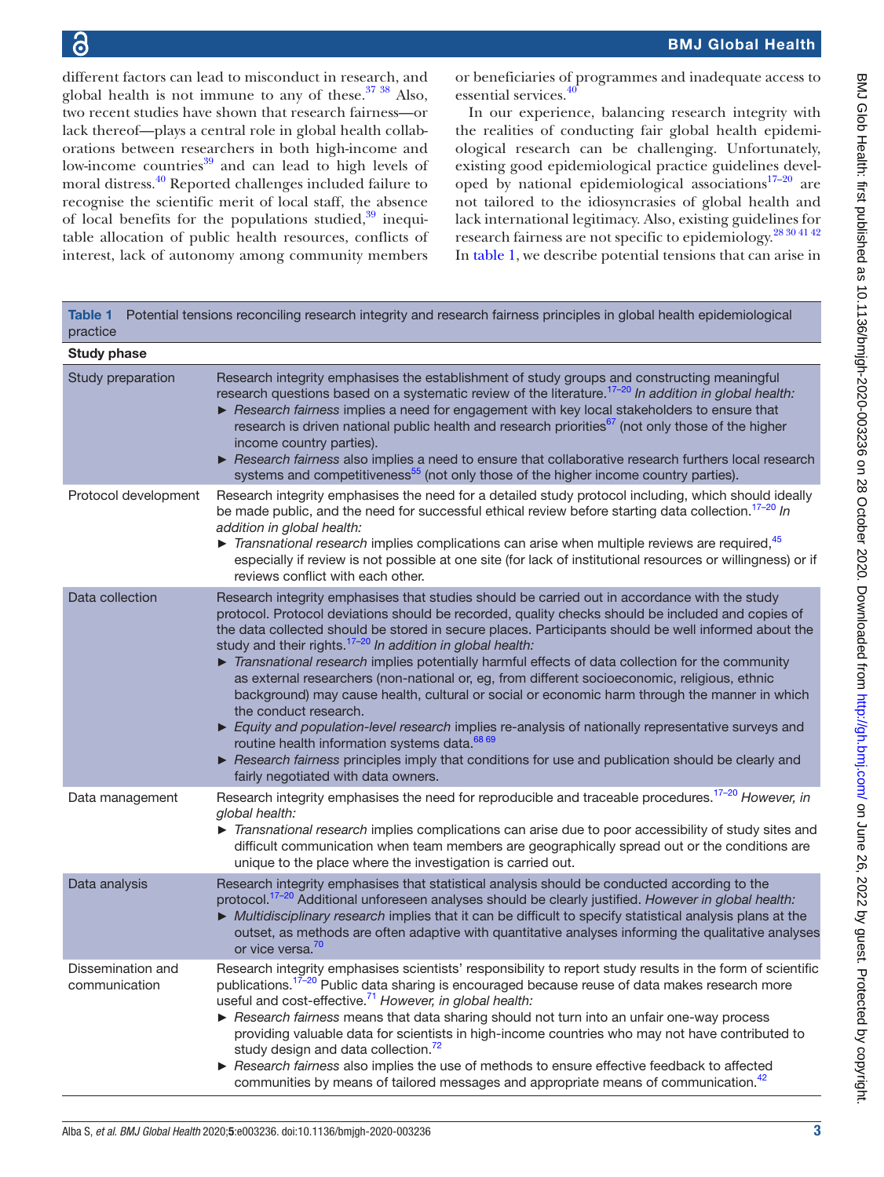different factors can lead to misconduct in research, and global health is not immune to any of these. $3738$  Also, two recent studies have shown that research fairness—or lack thereof—plays a central role in global health collaborations between researchers in both high-income and low-income countries $39$  and can lead to high levels of moral distress.[40](#page-9-11) Reported challenges included failure to recognise the scientific merit of local staff, the absence of local benefits for the populations studied, $39$  inequitable allocation of public health resources, conflicts of interest, lack of autonomy among community members

or beneficiaries of programmes and inadequate access to essential services.<sup>4</sup>

In our experience, balancing research integrity with the realities of conducting fair global health epidemiological research can be challenging. Unfortunately, existing good epidemiological practice guidelines developed by national epidemiological associations $17-20$  are not tailored to the idiosyncrasies of global health and lack international legitimacy. Also, existing guidelines for research fairness are not specific to epidemiology.[28 30 41 42](#page-9-7) In [table](#page-2-0) 1, we describe potential tensions that can arise in

<span id="page-2-0"></span>

| <b>Table 1</b><br>Potential tensions reconciling research integrity and research fairness principles in global health epidemiological<br>practice<br><b>Study phase</b> |                                                                                                                                                                                                                                                                                                                                                                                                                                                                                                                                                                                                                                                                                                                                                                                                                                                                                                                                                                                                                        |  |
|-------------------------------------------------------------------------------------------------------------------------------------------------------------------------|------------------------------------------------------------------------------------------------------------------------------------------------------------------------------------------------------------------------------------------------------------------------------------------------------------------------------------------------------------------------------------------------------------------------------------------------------------------------------------------------------------------------------------------------------------------------------------------------------------------------------------------------------------------------------------------------------------------------------------------------------------------------------------------------------------------------------------------------------------------------------------------------------------------------------------------------------------------------------------------------------------------------|--|
|                                                                                                                                                                         |                                                                                                                                                                                                                                                                                                                                                                                                                                                                                                                                                                                                                                                                                                                                                                                                                                                                                                                                                                                                                        |  |
| Protocol development                                                                                                                                                    | Research integrity emphasises the need for a detailed study protocol including, which should ideally<br>be made public, and the need for successful ethical review before starting data collection. <sup>17-20</sup> In<br>addition in global health:<br>$\triangleright$ Transnational research implies complications can arise when multiple reviews are required, $45$<br>especially if review is not possible at one site (for lack of institutional resources or willingness) or if<br>reviews conflict with each other.                                                                                                                                                                                                                                                                                                                                                                                                                                                                                          |  |
| Data collection                                                                                                                                                         | Research integrity emphasises that studies should be carried out in accordance with the study<br>protocol. Protocol deviations should be recorded, quality checks should be included and copies of<br>the data collected should be stored in secure places. Participants should be well informed about the<br>study and their rights. $17-20$ In addition in global health:<br>Transnational research implies potentially harmful effects of data collection for the community<br>as external researchers (non-national or, eg, from different socioeconomic, religious, ethnic<br>background) may cause health, cultural or social or economic harm through the manner in which<br>the conduct research.<br>Equity and population-level research implies re-analysis of nationally representative surveys and<br>routine health information systems data. <sup>68 69</sup><br>Research fairness principles imply that conditions for use and publication should be clearly and<br>fairly negotiated with data owners. |  |
| Data management                                                                                                                                                         | Research integrity emphasises the need for reproducible and traceable procedures. <sup>17-20</sup> However, in<br>global health:<br>Transnational research implies complications can arise due to poor accessibility of study sites and<br>difficult communication when team members are geographically spread out or the conditions are<br>unique to the place where the investigation is carried out.                                                                                                                                                                                                                                                                                                                                                                                                                                                                                                                                                                                                                |  |
| Data analysis                                                                                                                                                           | Research integrity emphasises that statistical analysis should be conducted according to the<br>protocol. <sup>17-20</sup> Additional unforeseen analyses should be clearly justified. However in global health:<br>Multidisciplinary research implies that it can be difficult to specify statistical analysis plans at the<br>outset, as methods are often adaptive with quantitative analyses informing the qualitative analyses<br>or vice versa. <sup>70</sup>                                                                                                                                                                                                                                                                                                                                                                                                                                                                                                                                                    |  |
| Dissemination and<br>communication                                                                                                                                      | Research integrity emphasises scientists' responsibility to report study results in the form of scientific<br>publications. <sup>17-20</sup> Public data sharing is encouraged because reuse of data makes research more<br>useful and cost-effective. <sup>71</sup> However, in global health:<br>Research fairness means that data sharing should not turn into an unfair one-way process<br>providing valuable data for scientists in high-income countries who may not have contributed to<br>study design and data collection. <sup>72</sup><br>Research fairness also implies the use of methods to ensure effective feedback to affected<br>communities by means of tailored messages and appropriate means of communication. <sup>42</sup>                                                                                                                                                                                                                                                                     |  |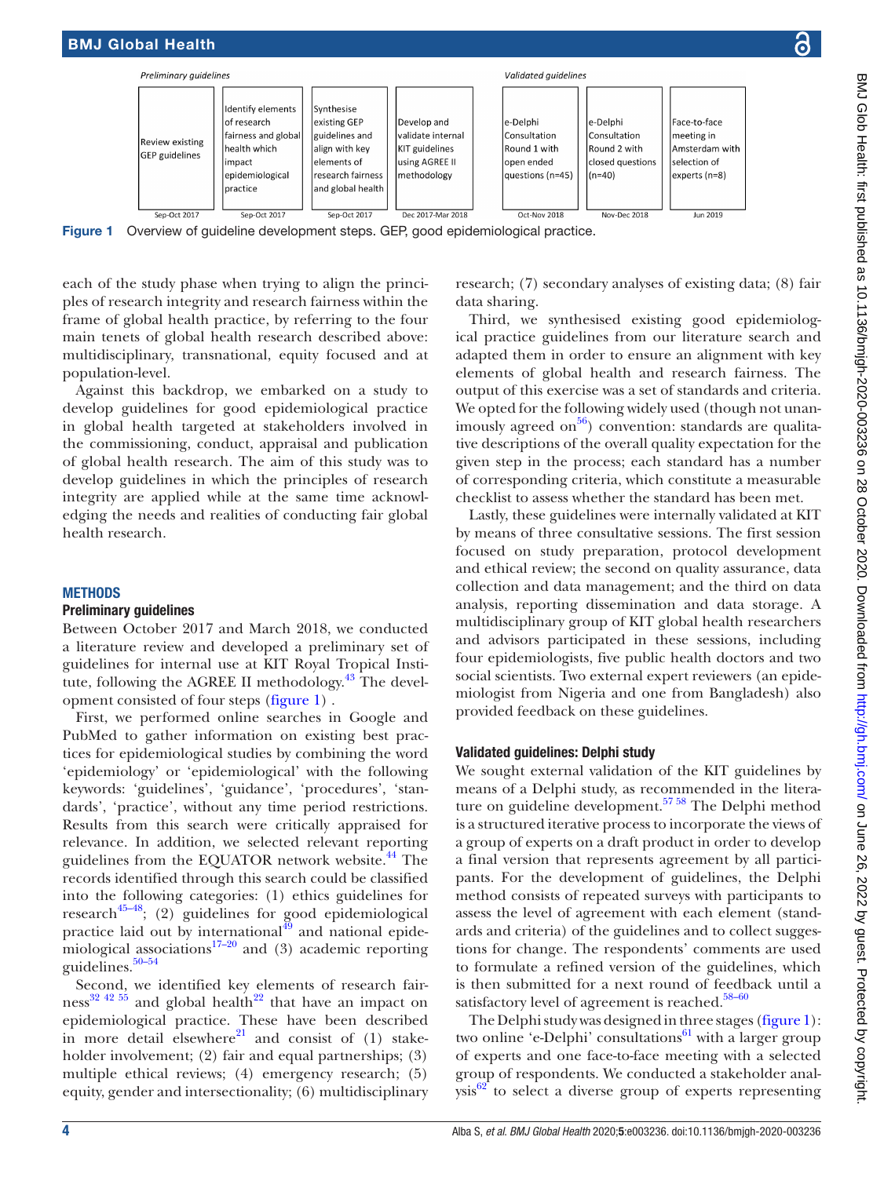

checklist to assess whether the standard has been met. Lastly, these guidelines were internally validated at KIT by means of three consultative sessions. The first session focused on study preparation, protocol development and ethical review; the second on quality assurance, data collection and data management; and the third on data analysis, reporting dissemination and data storage. A multidisciplinary group of KIT global health researchers and advisors participated in these sessions, including four epidemiologists, five public health doctors and two social scientists. Two external expert reviewers (an epidemiologist from Nigeria and one from Bangladesh) also provided feedback on these guidelines.

# Validated guidelines: Delphi study

We sought external validation of the KIT guidelines by means of a Delphi study, as recommended in the literature on guideline development. $57 58$  The Delphi method is a structured iterative process to incorporate the views of a group of experts on a draft product in order to develop a final version that represents agreement by all participants. For the development of guidelines, the Delphi method consists of repeated surveys with participants to assess the level of agreement with each element (standards and criteria) of the guidelines and to collect suggestions for change. The respondents' comments are used to formulate a refined version of the guidelines, which is then submitted for a next round of feedback until a satisfactory level of agreement is reached. $58-60$ 

The Delphi study was designed in three stages ([figure](#page-3-0) 1): two online 'e-Delphi' consultations<sup>61</sup> with a larger group of experts and one face-to-face meeting with a selected group of respondents. We conducted a stakeholder anal $ysis<sup>62</sup>$  to select a diverse group of experts representing

<span id="page-3-0"></span>Figure 1 Overview of guideline development steps. GEP, good epidemiological practice.

each of the study phase when trying to align the principles of research integrity and research fairness within the frame of global health practice, by referring to the four main tenets of global health research described above: multidisciplinary, transnational, equity focused and at population-level.

Against this backdrop, we embarked on a study to develop guidelines for good epidemiological practice in global health targeted at stakeholders involved in the commissioning, conduct, appraisal and publication of global health research. The aim of this study was to develop guidelines in which the principles of research integrity are applied while at the same time acknowledging the needs and realities of conducting fair global health research.

# **METHODS**

#### Preliminary guidelines

BMJ Global Health

Between October 2017 and March 2018, we conducted a literature review and developed a preliminary set of guidelines for internal use at KIT Royal Tropical Institute, following the AGREE II methodology.<sup>43</sup> The development consisted of four steps ([figure](#page-3-0) 1) .

First, we performed online searches in Google and PubMed to gather information on existing best practices for epidemiological studies by combining the word 'epidemiology' or 'epidemiological' with the following keywords: 'guidelines', 'guidance', 'procedures', 'standards', 'practice', without any time period restrictions. Results from this search were critically appraised for relevance. In addition, we selected relevant reporting guidelines from the EQUATOR network website.<sup>44</sup> The records identified through this search could be classified into the following categories: (1) ethics guidelines for  $research^{45-48}$ ; (2) guidelines for good epidemiological practice laid out by international $49$  and national epidemiological associations<sup>17–20</sup> and (3) academic reporting guidelines. $50-54$ 

Second, we identified key elements of research fairness<sup>32 42 55</sup> and global health<sup>22</sup> that have an impact on epidemiological practice. These have been described in more detail elsewhere $^{21}$  and consist of (1) stakeholder involvement; (2) fair and equal partnerships; (3) multiple ethical reviews; (4) emergency research; (5) equity, gender and intersectionality; (6) multidisciplinary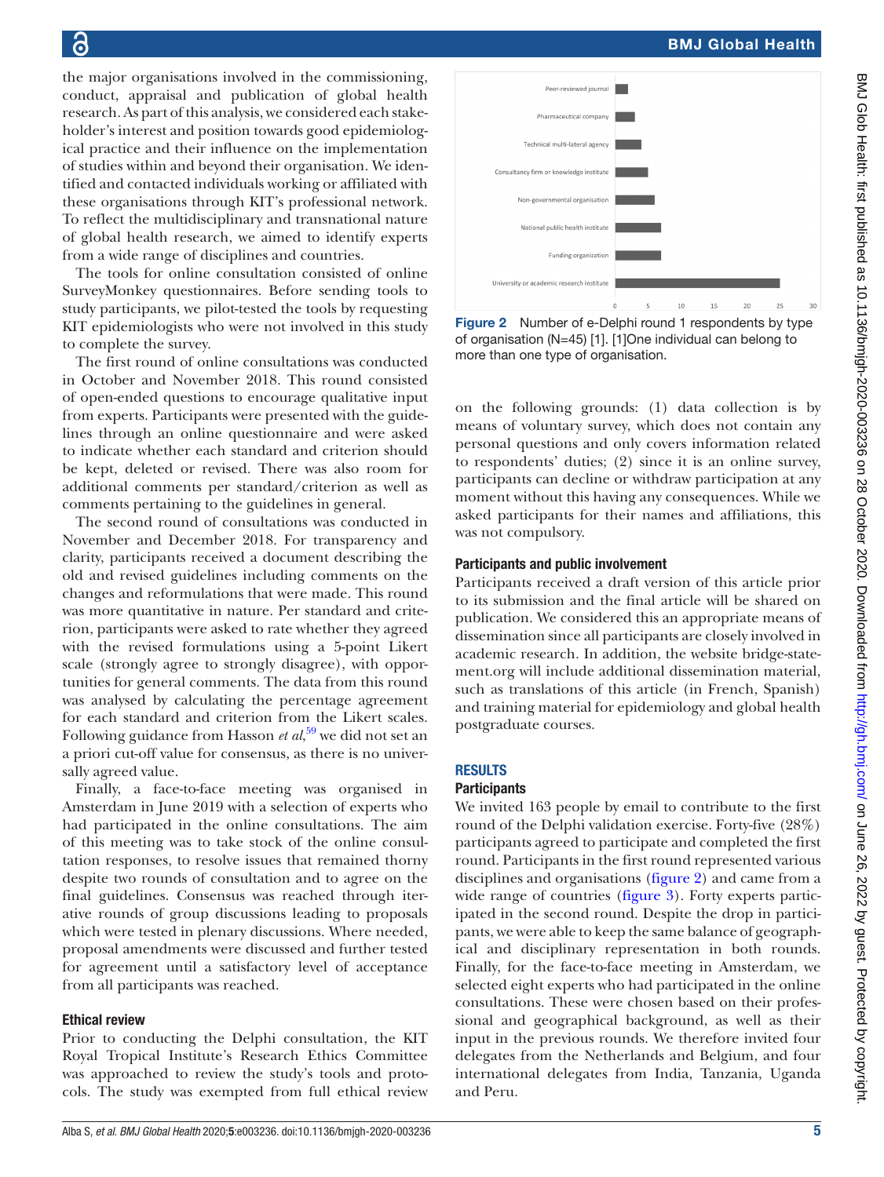the major organisations involved in the commissioning, conduct, appraisal and publication of global health research. As part of this analysis, we considered each stakeholder's interest and position towards good epidemiological practice and their influence on the implementation of studies within and beyond their organisation. We identified and contacted individuals working or affiliated with these organisations through KIT's professional network. To reflect the multidisciplinary and transnational nature of global health research, we aimed to identify experts from a wide range of disciplines and countries.

The tools for online consultation consisted of online SurveyMonkey questionnaires. Before sending tools to study participants, we pilot-tested the tools by requesting KIT epidemiologists who were not involved in this study to complete the survey.

The first round of online consultations was conducted in October and November 2018. This round consisted of open-ended questions to encourage qualitative input from experts. Participants were presented with the guidelines through an online questionnaire and were asked to indicate whether each standard and criterion should be kept, deleted or revised. There was also room for additional comments per standard/criterion as well as comments pertaining to the guidelines in general.

The second round of consultations was conducted in November and December 2018. For transparency and clarity, participants received a document describing the old and revised guidelines including comments on the changes and reformulations that were made. This round was more quantitative in nature. Per standard and criterion, participants were asked to rate whether they agreed with the revised formulations using a 5-point Likert scale (strongly agree to strongly disagree), with opportunities for general comments. The data from this round was analysed by calculating the percentage agreement for each standard and criterion from the Likert scales. Following guidance from Hasson *et al*, [59](#page-9-30) we did not set an a priori cut-off value for consensus, as there is no universally agreed value.

Finally, a face-to-face meeting was organised in Amsterdam in June 2019 with a selection of experts who had participated in the online consultations. The aim of this meeting was to take stock of the online consultation responses, to resolve issues that remained thorny despite two rounds of consultation and to agree on the final guidelines. Consensus was reached through iterative rounds of group discussions leading to proposals which were tested in plenary discussions. Where needed, proposal amendments were discussed and further tested for agreement until a satisfactory level of acceptance from all participants was reached.

#### Ethical review

Prior to conducting the Delphi consultation, the KIT Royal Tropical Institute's Research Ethics Committee was approached to review the study's tools and protocols. The study was exempted from full ethical review



<span id="page-4-0"></span>Figure 2 Number of e-Delphi round 1 respondents by type of organisation (N=45) [1]. [1]One individual can belong to more than one type of organisation.

on the following grounds: (1) data collection is by means of voluntary survey, which does not contain any personal questions and only covers information related to respondents' duties; (2) since it is an online survey, participants can decline or withdraw participation at any moment without this having any consequences. While we asked participants for their names and affiliations, this was not compulsory.

#### Participants and public involvement

Participants received a draft version of this article prior to its submission and the final article will be shared on publication. We considered this an appropriate means of dissemination since all participants are closely involved in academic research. In addition, the website bridge-statement.org will include additional dissemination material, such as translations of this article (in French, Spanish) and training material for epidemiology and global health postgraduate courses.

# RESULTS

#### **Participants**

We invited 163 people by email to contribute to the first round of the Delphi validation exercise. Forty-five (28%) participants agreed to participate and completed the first round. Participants in the first round represented various disciplines and organisations [\(figure](#page-4-0) 2) and came from a wide range of countries [\(figure](#page-5-0) 3). Forty experts participated in the second round. Despite the drop in participants, we were able to keep the same balance of geographical and disciplinary representation in both rounds. Finally, for the face-to-face meeting in Amsterdam, we selected eight experts who had participated in the online consultations. These were chosen based on their professional and geographical background, as well as their input in the previous rounds. We therefore invited four delegates from the Netherlands and Belgium, and four international delegates from India, Tanzania, Uganda and Peru.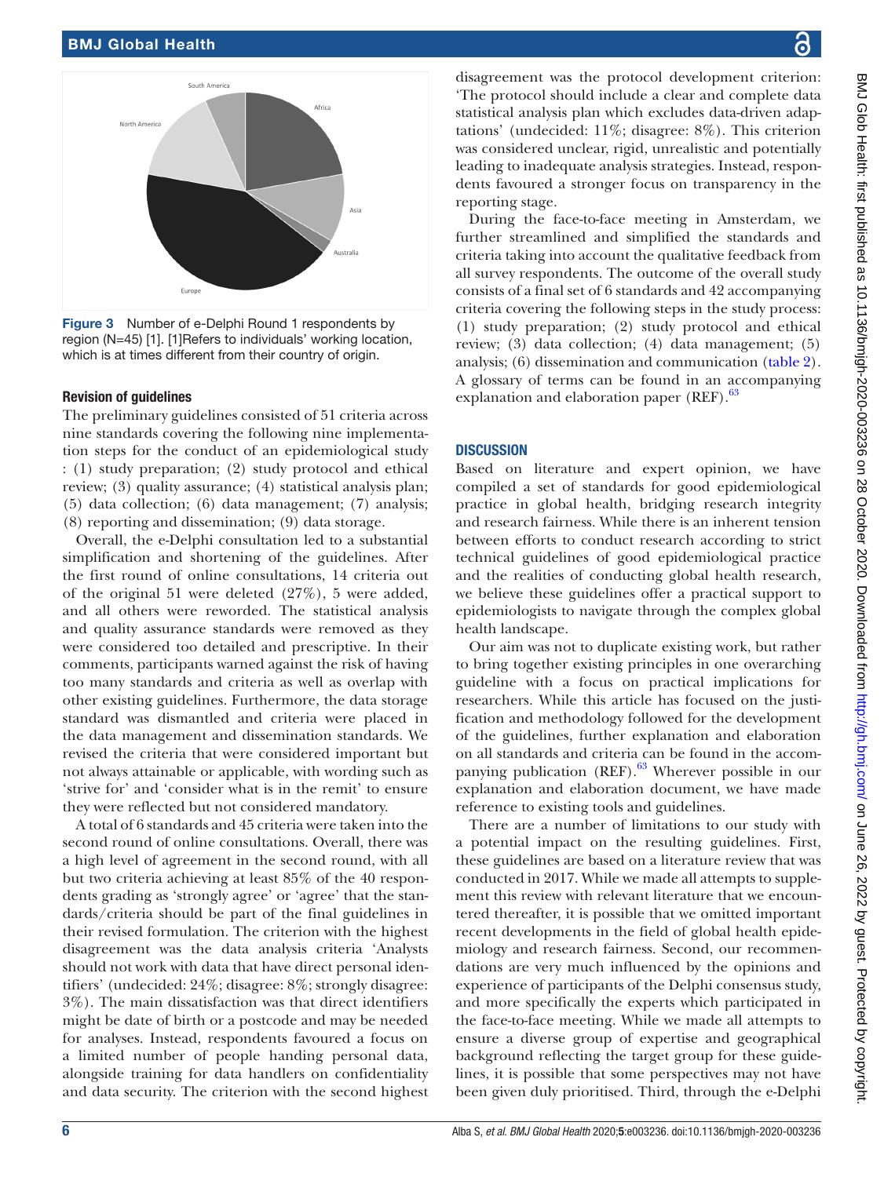

<span id="page-5-0"></span>Figure 3 Number of e-Delphi Round 1 respondents by region (N=45) [1]. [1]Refers to individuals' working location, which is at times different from their country of origin.

### Revision of guidelines

The preliminary guidelines consisted of 51 criteria across nine standards covering the following nine implementation steps for the conduct of an epidemiological study : (1) study preparation; (2) study protocol and ethical review; (3) quality assurance; (4) statistical analysis plan; (5) data collection; (6) data management; (7) analysis; (8) reporting and dissemination; (9) data storage.

Overall, the e-Delphi consultation led to a substantial simplification and shortening of the guidelines. After the first round of online consultations, 14 criteria out of the original 51 were deleted (27%), 5 were added, and all others were reworded. The statistical analysis and quality assurance standards were removed as they were considered too detailed and prescriptive. In their comments, participants warned against the risk of having too many standards and criteria as well as overlap with other existing guidelines. Furthermore, the data storage standard was dismantled and criteria were placed in the data management and dissemination standards. We revised the criteria that were considered important but not always attainable or applicable, with wording such as 'strive for' and 'consider what is in the remit' to ensure they were reflected but not considered mandatory.

A total of 6 standards and 45 criteria were taken into the second round of online consultations. Overall, there was a high level of agreement in the second round, with all but two criteria achieving at least 85% of the 40 respondents grading as 'strongly agree' or 'agree' that the standards/criteria should be part of the final guidelines in their revised formulation. The criterion with the highest disagreement was the data analysis criteria 'Analysts should not work with data that have direct personal identifiers' (undecided: 24%; disagree: 8%; strongly disagree: 3%). The main dissatisfaction was that direct identifiers might be date of birth or a postcode and may be needed for analyses. Instead, respondents favoured a focus on a limited number of people handing personal data, alongside training for data handlers on confidentiality and data security. The criterion with the second highest

disagreement was the protocol development criterion: 'The protocol should include a clear and complete data statistical analysis plan which excludes data-driven adaptations' (undecided: 11%; disagree: 8%). This criterion was considered unclear, rigid, unrealistic and potentially leading to inadequate analysis strategies. Instead, respondents favoured a stronger focus on transparency in the reporting stage.

During the face-to-face meeting in Amsterdam, we further streamlined and simplified the standards and criteria taking into account the qualitative feedback from all survey respondents. The outcome of the overall study consists of a final set of 6 standards and 42 accompanying criteria covering the following steps in the study process: (1) study preparation; (2) study protocol and ethical review; (3) data collection; (4) data management; (5) analysis; (6) dissemination and communication ([table](#page-6-0) 2). A glossary of terms can be found in an accompanying explanation and elaboration paper (REF).<sup>63</sup>

## **DISCUSSION**

Based on literature and expert opinion, we have compiled a set of standards for good epidemiological practice in global health, bridging research integrity and research fairness. While there is an inherent tension between efforts to conduct research according to strict technical guidelines of good epidemiological practice and the realities of conducting global health research, we believe these guidelines offer a practical support to epidemiologists to navigate through the complex global health landscape.

Our aim was not to duplicate existing work, but rather to bring together existing principles in one overarching guideline with a focus on practical implications for researchers. While this article has focused on the justification and methodology followed for the development of the guidelines, further explanation and elaboration on all standards and criteria can be found in the accompanying publication  $(REF)$ .<sup>63</sup> Wherever possible in our explanation and elaboration document, we have made reference to existing tools and guidelines.

There are a number of limitations to our study with a potential impact on the resulting guidelines. First, these guidelines are based on a literature review that was conducted in 2017. While we made all attempts to supplement this review with relevant literature that we encountered thereafter, it is possible that we omitted important recent developments in the field of global health epidemiology and research fairness. Second, our recommendations are very much influenced by the opinions and experience of participants of the Delphi consensus study, and more specifically the experts which participated in the face-to-face meeting. While we made all attempts to ensure a diverse group of expertise and geographical background reflecting the target group for these guidelines, it is possible that some perspectives may not have been given duly prioritised. Third, through the e-Delphi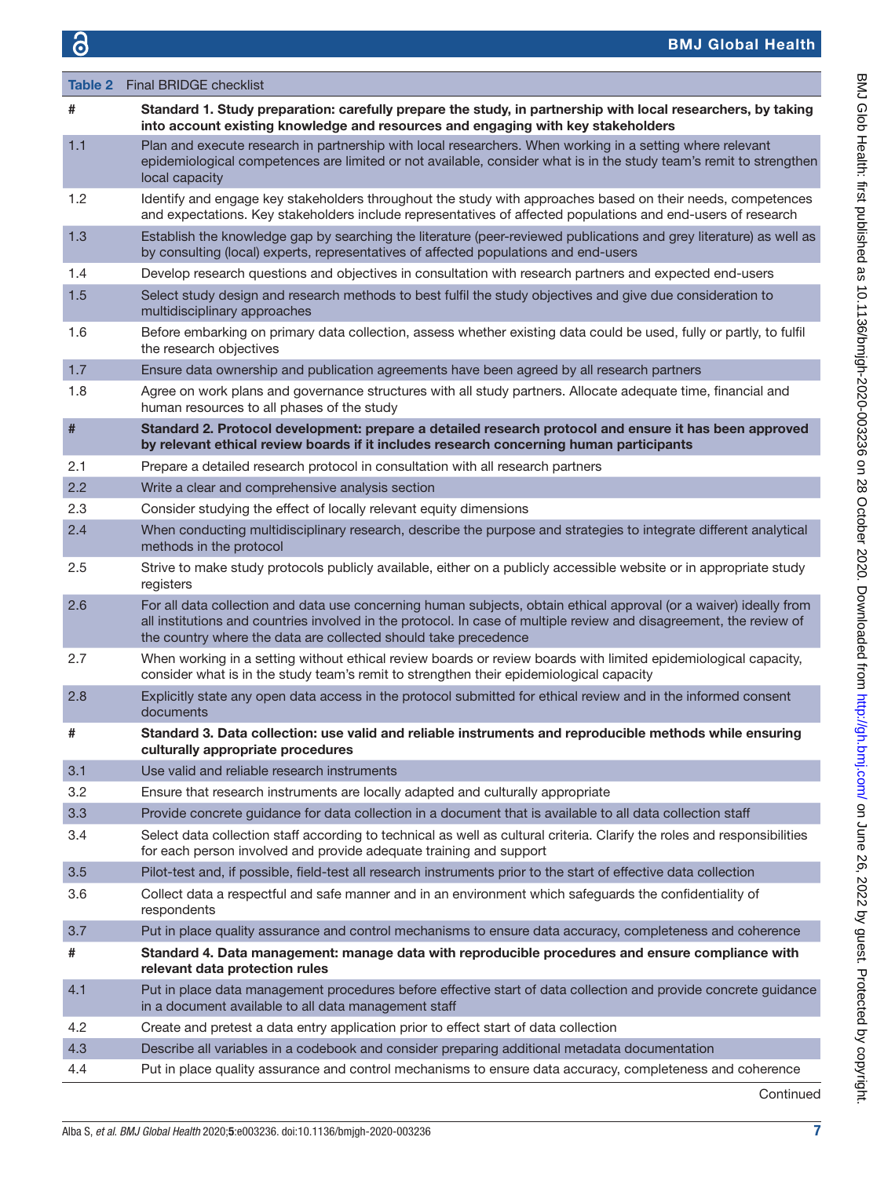<span id="page-6-0"></span>

|     | <b>Table 2</b> Final BRIDGE checklist                                                                                                                                                                                                                                                                        |
|-----|--------------------------------------------------------------------------------------------------------------------------------------------------------------------------------------------------------------------------------------------------------------------------------------------------------------|
|     |                                                                                                                                                                                                                                                                                                              |
| #   | Standard 1. Study preparation: carefully prepare the study, in partnership with local researchers, by taking<br>into account existing knowledge and resources and engaging with key stakeholders                                                                                                             |
| 1.1 | Plan and execute research in partnership with local researchers. When working in a setting where relevant<br>epidemiological competences are limited or not available, consider what is in the study team's remit to strengthen<br>local capacity                                                            |
| 1.2 | Identify and engage key stakeholders throughout the study with approaches based on their needs, competences<br>and expectations. Key stakeholders include representatives of affected populations and end-users of research                                                                                  |
| 1.3 | Establish the knowledge gap by searching the literature (peer-reviewed publications and grey literature) as well as<br>by consulting (local) experts, representatives of affected populations and end-users                                                                                                  |
| 1.4 | Develop research questions and objectives in consultation with research partners and expected end-users                                                                                                                                                                                                      |
| 1.5 | Select study design and research methods to best fulfil the study objectives and give due consideration to<br>multidisciplinary approaches                                                                                                                                                                   |
| 1.6 | Before embarking on primary data collection, assess whether existing data could be used, fully or partly, to fulfil<br>the research objectives                                                                                                                                                               |
| 1.7 | Ensure data ownership and publication agreements have been agreed by all research partners                                                                                                                                                                                                                   |
| 1.8 | Agree on work plans and governance structures with all study partners. Allocate adequate time, financial and<br>human resources to all phases of the study                                                                                                                                                   |
| #   | Standard 2. Protocol development: prepare a detailed research protocol and ensure it has been approved<br>by relevant ethical review boards if it includes research concerning human participants                                                                                                            |
| 2.1 | Prepare a detailed research protocol in consultation with all research partners                                                                                                                                                                                                                              |
| 2.2 | Write a clear and comprehensive analysis section                                                                                                                                                                                                                                                             |
| 2.3 | Consider studying the effect of locally relevant equity dimensions                                                                                                                                                                                                                                           |
| 2.4 | When conducting multidisciplinary research, describe the purpose and strategies to integrate different analytical<br>methods in the protocol                                                                                                                                                                 |
| 2.5 | Strive to make study protocols publicly available, either on a publicly accessible website or in appropriate study<br>registers                                                                                                                                                                              |
| 2.6 | For all data collection and data use concerning human subjects, obtain ethical approval (or a waiver) ideally from<br>all institutions and countries involved in the protocol. In case of multiple review and disagreement, the review of<br>the country where the data are collected should take precedence |
| 2.7 | When working in a setting without ethical review boards or review boards with limited epidemiological capacity,<br>consider what is in the study team's remit to strengthen their epidemiological capacity                                                                                                   |
| 2.8 | Explicitly state any open data access in the protocol submitted for ethical review and in the informed consent<br>documents                                                                                                                                                                                  |
| #   | Standard 3. Data collection: use valid and reliable instruments and reproducible methods while ensuring<br>culturally appropriate procedures                                                                                                                                                                 |
| 3.1 | Use valid and reliable research instruments                                                                                                                                                                                                                                                                  |
| 3.2 | Ensure that research instruments are locally adapted and culturally appropriate                                                                                                                                                                                                                              |
| 3.3 | Provide concrete guidance for data collection in a document that is available to all data collection staff                                                                                                                                                                                                   |
| 3.4 | Select data collection staff according to technical as well as cultural criteria. Clarify the roles and responsibilities<br>for each person involved and provide adequate training and support                                                                                                               |
| 3.5 | Pilot-test and, if possible, field-test all research instruments prior to the start of effective data collection                                                                                                                                                                                             |
| 3.6 | Collect data a respectful and safe manner and in an environment which safeguards the confidentiality of<br>respondents                                                                                                                                                                                       |
| 3.7 | Put in place quality assurance and control mechanisms to ensure data accuracy, completeness and coherence                                                                                                                                                                                                    |
| #   | Standard 4. Data management: manage data with reproducible procedures and ensure compliance with<br>relevant data protection rules                                                                                                                                                                           |
| 4.1 | Put in place data management procedures before effective start of data collection and provide concrete guidance<br>in a document available to all data management staff                                                                                                                                      |
| 4.2 | Create and pretest a data entry application prior to effect start of data collection                                                                                                                                                                                                                         |
| 4.3 | Describe all variables in a codebook and consider preparing additional metadata documentation                                                                                                                                                                                                                |
| 4.4 | Put in place quality assurance and control mechanisms to ensure data accuracy, completeness and coherence                                                                                                                                                                                                    |

Continued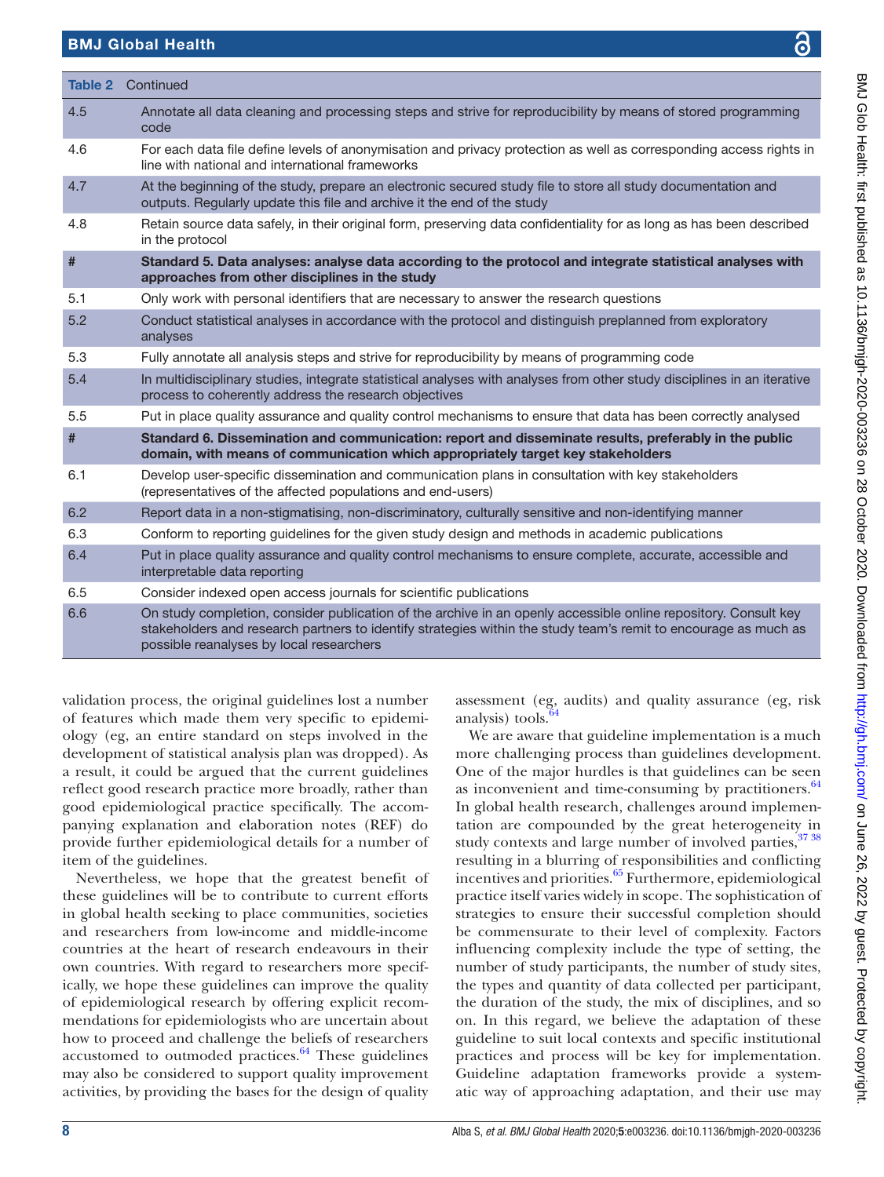# BMJ Global Health

|     | <b>Table 2</b> Continued                                                                                                                                                                                                                                                       |  |
|-----|--------------------------------------------------------------------------------------------------------------------------------------------------------------------------------------------------------------------------------------------------------------------------------|--|
| 4.5 | Annotate all data cleaning and processing steps and strive for reproducibility by means of stored programming<br>code                                                                                                                                                          |  |
| 4.6 | For each data file define levels of anonymisation and privacy protection as well as corresponding access rights in<br>line with national and international frameworks                                                                                                          |  |
| 4.7 | At the beginning of the study, prepare an electronic secured study file to store all study documentation and<br>outputs. Regularly update this file and archive it the end of the study                                                                                        |  |
| 4.8 | Retain source data safely, in their original form, preserving data confidentiality for as long as has been described<br>in the protocol                                                                                                                                        |  |
| #   | Standard 5. Data analyses: analyse data according to the protocol and integrate statistical analyses with<br>approaches from other disciplines in the study                                                                                                                    |  |
| 5.1 | Only work with personal identifiers that are necessary to answer the research questions                                                                                                                                                                                        |  |
| 5.2 | Conduct statistical analyses in accordance with the protocol and distinguish preplanned from exploratory<br>analyses                                                                                                                                                           |  |
| 5.3 | Fully annotate all analysis steps and strive for reproducibility by means of programming code                                                                                                                                                                                  |  |
| 5.4 | In multidisciplinary studies, integrate statistical analyses with analyses from other study disciplines in an iterative<br>process to coherently address the research objectives                                                                                               |  |
| 5.5 | Put in place quality assurance and quality control mechanisms to ensure that data has been correctly analysed                                                                                                                                                                  |  |
| #   | Standard 6. Dissemination and communication: report and disseminate results, preferably in the public<br>domain, with means of communication which appropriately target key stakeholders                                                                                       |  |
| 6.1 | Develop user-specific dissemination and communication plans in consultation with key stakeholders<br>(representatives of the affected populations and end-users)                                                                                                               |  |
| 6.2 | Report data in a non-stigmatising, non-discriminatory, culturally sensitive and non-identifying manner                                                                                                                                                                         |  |
| 6.3 | Conform to reporting guidelines for the given study design and methods in academic publications                                                                                                                                                                                |  |
| 6.4 | Put in place quality assurance and quality control mechanisms to ensure complete, accurate, accessible and<br>interpretable data reporting                                                                                                                                     |  |
| 6.5 | Consider indexed open access journals for scientific publications                                                                                                                                                                                                              |  |
| 6.6 | On study completion, consider publication of the archive in an openly accessible online repository. Consult key<br>stakeholders and research partners to identify strategies within the study team's remit to encourage as much as<br>possible reanalyses by local researchers |  |

validation process, the original guidelines lost a number of features which made them very specific to epidemiology (eg, an entire standard on steps involved in the development of statistical analysis plan was dropped). As a result, it could be argued that the current guidelines reflect good research practice more broadly, rather than good epidemiological practice specifically. The accompanying explanation and elaboration notes (REF) do provide further epidemiological details for a number of item of the guidelines.

Nevertheless, we hope that the greatest benefit of these guidelines will be to contribute to current efforts in global health seeking to place communities, societies and researchers from low-income and middle-income countries at the heart of research endeavours in their own countries. With regard to researchers more specifically, we hope these guidelines can improve the quality of epidemiological research by offering explicit recommendations for epidemiologists who are uncertain about how to proceed and challenge the beliefs of researchers accustomed to outmoded practices. $64$  These guidelines may also be considered to support quality improvement activities, by providing the bases for the design of quality

assessment (eg, audits) and quality assurance (eg, risk analysis) tools[.64](#page-9-32)

We are aware that guideline implementation is a much more challenging process than guidelines development. One of the major hurdles is that guidelines can be seen as inconvenient and time-consuming by practitioners. $64$ In global health research, challenges around implementation are compounded by the great heterogeneity in study contexts and large number of involved parties, [37 38](#page-9-9) resulting in a blurring of responsibilities and conflicting incentives and priorities.<sup>[65](#page-9-33)</sup> Furthermore, epidemiological practice itself varies widely in scope. The sophistication of strategies to ensure their successful completion should be commensurate to their level of complexity. Factors influencing complexity include the type of setting, the number of study participants, the number of study sites, the types and quantity of data collected per participant, the duration of the study, the mix of disciplines, and so on. In this regard, we believe the adaptation of these guideline to suit local contexts and specific institutional practices and process will be key for implementation. Guideline adaptation frameworks provide a systematic way of approaching adaptation, and their use may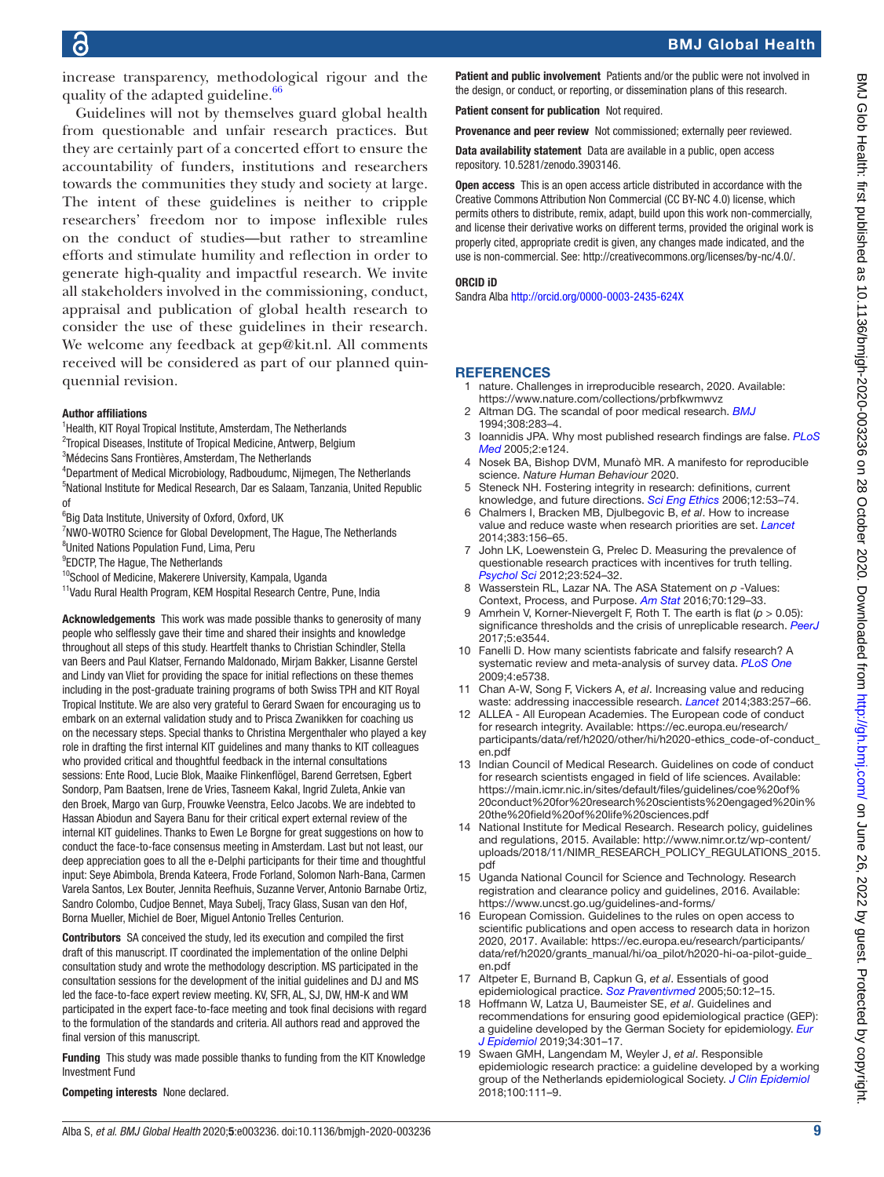increase transparency, methodological rigour and the quality of the adapted guideline.<sup>[66](#page-9-34)</sup>

Guidelines will not by themselves guard global health from questionable and unfair research practices. But they are certainly part of a concerted effort to ensure the accountability of funders, institutions and researchers towards the communities they study and society at large. The intent of these guidelines is neither to cripple researchers' freedom nor to impose inflexible rules on the conduct of studies—but rather to streamline efforts and stimulate humility and reflection in order to generate high-quality and impactful research. We invite all stakeholders involved in the commissioning, conduct, appraisal and publication of global health research to consider the use of these guidelines in their research. We welcome any feedback at gep@kit.nl. All comments received will be considered as part of our planned quinquennial revision.

#### Author affiliations

- <sup>1</sup>Health, KIT Royal Tropical Institute, Amsterdam, The Netherlands
- <sup>2</sup>Tropical Diseases, Institute of Tropical Medicine, Antwerp, Belgium
- 3 Médecins Sans Frontières, Amsterdam, The Netherlands
- 4 Department of Medical Microbiology, Radboudumc, Nijmegen, The Netherlands 5 National Institute for Medical Research, Dar es Salaam, Tanzania, United Republic of
- 6 Big Data Institute, University of Oxford, Oxford, UK
- <sup>7</sup>NWO-WOTRO Science for Global Development, The Hague, The Netherlands
- <sup>8</sup>United Nations Population Fund, Lima, Peru
- <sup>9</sup>EDCTP, The Hague, The Netherlands
- <sup>10</sup>School of Medicine, Makerere University, Kampala, Uganda
- <sup>11</sup>Vadu Rural Health Program, KEM Hospital Research Centre, Pune, India

Acknowledgements This work was made possible thanks to generosity of many people who selflessly gave their time and shared their insights and knowledge throughout all steps of this study. Heartfelt thanks to Christian Schindler, Stella van Beers and Paul Klatser, Fernando Maldonado, Mirjam Bakker, Lisanne Gerstel and Lindy van Vliet for providing the space for initial reflections on these themes including in the post-graduate training programs of both Swiss TPH and KIT Royal Tropical Institute. We are also very grateful to Gerard Swaen for encouraging us to embark on an external validation study and to Prisca Zwanikken for coaching us on the necessary steps. Special thanks to Christina Mergenthaler who played a key role in drafting the first internal KIT guidelines and many thanks to KIT colleagues who provided critical and thoughtful feedback in the internal consultations sessions: Ente Rood, Lucie Blok, Maaike Flinkenflögel, Barend Gerretsen, Egbert Sondorp, Pam Baatsen, Irene de Vries, Tasneem Kakal, Ingrid Zuleta, Ankie van den Broek, Margo van Gurp, Frouwke Veenstra, Eelco Jacobs. We are indebted to Hassan Abiodun and Sayera Banu for their critical expert external review of the internal KIT guidelines. Thanks to Ewen Le Borgne for great suggestions on how to conduct the face-to-face consensus meeting in Amsterdam. Last but not least, our deep appreciation goes to all the e-Delphi participants for their time and thoughtful input: Seye Abimbola, Brenda Kateera, Frode Forland, Solomon Narh-Bana, Carmen Varela Santos, Lex Bouter, Jennita Reefhuis, Suzanne Verver, Antonio Barnabe Ortiz, Sandro Colombo, Cudjoe Bennet, Maya Subelj, Tracy Glass, Susan van den Hof, Borna Mueller, Michiel de Boer, Miguel Antonio Trelles Centurion.

Contributors SA conceived the study, led its execution and compiled the first draft of this manuscript. IT coordinated the implementation of the online Delphi consultation study and wrote the methodology description. MS participated in the consultation sessions for the development of the initial guidelines and DJ and MS led the face-to-face expert review meeting. KV, SFR, AL, SJ, DW, HM-K and WM participated in the expert face-to-face meeting and took final decisions with regard to the formulation of the standards and criteria. All authors read and approved the final version of this manuscript.

Funding This study was made possible thanks to funding from the KIT Knowledge Investment Fund

Competing interests None declared.

Patient and public involvement Patients and/or the public were not involved in the design, or conduct, or reporting, or dissemination plans of this research.

Patient consent for publication Not required.

Provenance and peer review Not commissioned; externally peer reviewed.

Data availability statement Data are available in a public, open access repository. 10.5281/zenodo.3903146.

Open access This is an open access article distributed in accordance with the Creative Commons Attribution Non Commercial (CC BY-NC 4.0) license, which permits others to distribute, remix, adapt, build upon this work non-commercially, and license their derivative works on different terms, provided the original work is properly cited, appropriate credit is given, any changes made indicated, and the use is non-commercial. See:<http://creativecommons.org/licenses/by-nc/4.0/>.

#### ORCID iD

Sandra Alba<http://orcid.org/0000-0003-2435-624X>

#### **REFERENCES**

- <span id="page-8-0"></span>nature. Challenges in irreproducible research, 2020. Available: <https://www.nature.com/collections/prbfkwmwvz>
- <span id="page-8-1"></span>2 Altman DG. The scandal of poor medical research. *[BMJ](http://dx.doi.org/10.1136/bmj.308.6924.283)* 1994;308:283–4.
- <span id="page-8-5"></span>3 Ioannidis JPA. Why most published research findings are false. *[PLoS](http://dx.doi.org/10.1371/journal.pmed.0020124)  [Med](http://dx.doi.org/10.1371/journal.pmed.0020124)* 2005;2:e124.
- 4 Nosek BA, Bishop DVM, Munafò MR. A manifesto for reproducible science. *Nature Human Behaviour* 2020.
- <span id="page-8-2"></span>5 Steneck NH. Fostering integrity in research: definitions, current knowledge, and future directions. *[Sci Eng Ethics](http://dx.doi.org/10.1007/s11948-006-0006-y)* 2006;12:53–74.
- <span id="page-8-3"></span>6 Chalmers I, Bracken MB, Djulbegovic B, *et al*. How to increase value and reduce waste when research priorities are set. *[Lancet](http://dx.doi.org/10.1016/S0140-6736(13)62229-1)* 2014;383:156–65.
- <span id="page-8-4"></span>7 John LK, Loewenstein G, Prelec D. Measuring the prevalence of questionable research practices with incentives for truth telling. *[Psychol Sci](http://dx.doi.org/10.1177/0956797611430953)* 2012;23:524–32.
- Wasserstein RL, Lazar NA. The ASA Statement on *p* -Values: Context, Process, and Purpose. *[Am Stat](http://dx.doi.org/10.1080/00031305.2016.1154108)* 2016;70:129–33.
- 9 Amrhein V, Korner-Nievergelt F, Roth T. The earth is flat (*p* > 0.05): significance thresholds and the crisis of unreplicable research. *[PeerJ](http://dx.doi.org/10.7717/peerj.3544)* 2017;5:e3544.
- 10 Fanelli D. How many scientists fabricate and falsify research? A systematic review and meta-analysis of survey data. *[PLoS One](http://dx.doi.org/10.1371/journal.pone.0005738)* 2009;4:e5738.
- 11 Chan A-W, Song F, Vickers A, *et al*. Increasing value and reducing waste: addressing inaccessible research. *[Lancet](http://dx.doi.org/10.1016/S0140-6736(13)62296-5)* 2014;383:257–66.
- <span id="page-8-6"></span>12 ALLEA - All European Academies. The European code of conduct for research integrity. Available: [https://ec.europa.eu/research/](https://ec.europa.eu/research/participants/data/ref/h2020/other/hi/h2020-ethics_code-of-conduct_en.pdf) [participants/data/ref/h2020/other/hi/h2020-ethics\\_code-of-conduct\\_](https://ec.europa.eu/research/participants/data/ref/h2020/other/hi/h2020-ethics_code-of-conduct_en.pdf) [en.pdf](https://ec.europa.eu/research/participants/data/ref/h2020/other/hi/h2020-ethics_code-of-conduct_en.pdf)
- <span id="page-8-7"></span>13 Indian Council of Medical Research. Guidelines on code of conduct for research scientists engaged in field of life sciences. Available: [https://main.icmr.nic.in/sites/default/files/guidelines/coe%20of%](https://main.icmr.nic.in/sites/default/files/guidelines/coe%20of%20conduct%20for%20research%20scientists%20engaged%20in%20the%20field%20of%20life%20sciences.pdf) [20conduct%20for%20research%20scientists%20engaged%20in%](https://main.icmr.nic.in/sites/default/files/guidelines/coe%20of%20conduct%20for%20research%20scientists%20engaged%20in%20the%20field%20of%20life%20sciences.pdf) [20the%20field%20of%20life%20sciences.pdf](https://main.icmr.nic.in/sites/default/files/guidelines/coe%20of%20conduct%20for%20research%20scientists%20engaged%20in%20the%20field%20of%20life%20sciences.pdf)
- <span id="page-8-8"></span>14 National Institute for Medical Research. Research policy, guidelines and regulations, 2015. Available: [http://www.nimr.or.tz/wp-content/](http://www.nimr.or.tz/wp-content/uploads/2018/11/NIMR_RESEARCH_POLICY_REGULATIONS_2015.pdf) [uploads/2018/11/NIMR\\_RESEARCH\\_POLICY\\_REGULATIONS\\_2015.](http://www.nimr.or.tz/wp-content/uploads/2018/11/NIMR_RESEARCH_POLICY_REGULATIONS_2015.pdf) [pdf](http://www.nimr.or.tz/wp-content/uploads/2018/11/NIMR_RESEARCH_POLICY_REGULATIONS_2015.pdf)
- <span id="page-8-9"></span>15 Uganda National Council for Science and Technology. Research registration and clearance policy and guidelines, 2016. Available: <https://www.uncst.go.ug/guidelines-and-forms/>
- <span id="page-8-10"></span>16 European Comission. Guidelines to the rules on open access to scientific publications and open access to research data in horizon 2020, 2017. Available: [https://ec.europa.eu/research/participants/](https://ec.europa.eu/research/participants/data/ref/h2020/grants_manual/hi/oa_pilot/h2020-hi-oa-pilot-guide_en.pdf) [data/ref/h2020/grants\\_manual/hi/oa\\_pilot/h2020-hi-oa-pilot-guide\\_](https://ec.europa.eu/research/participants/data/ref/h2020/grants_manual/hi/oa_pilot/h2020-hi-oa-pilot-guide_en.pdf) [en.pdf](https://ec.europa.eu/research/participants/data/ref/h2020/grants_manual/hi/oa_pilot/h2020-hi-oa-pilot-guide_en.pdf)
- <span id="page-8-11"></span>17 Altpeter E, Burnand B, Capkun G, *et al*. Essentials of good epidemiological practice. *[Soz Praventivmed](http://dx.doi.org/10.1007/s00038-004-4008-8)* 2005;50:12–15.
- <span id="page-8-12"></span>18 Hoffmann W, Latza U, Baumeister SE, *et al*. Guidelines and recommendations for ensuring good epidemiological practice (GEP): a guideline developed by the German Society for epidemiology. *[Eur](http://dx.doi.org/10.1007/s10654-019-00500-x)  [J Epidemiol](http://dx.doi.org/10.1007/s10654-019-00500-x)* 2019;34:301–17.
- <span id="page-8-13"></span>19 Swaen GMH, Langendam M, Weyler J, *et al*. Responsible epidemiologic research practice: a guideline developed by a working group of the Netherlands epidemiological Society. *[J Clin Epidemiol](http://dx.doi.org/10.1016/j.jclinepi.2018.02.010)* 2018;100:111–9.